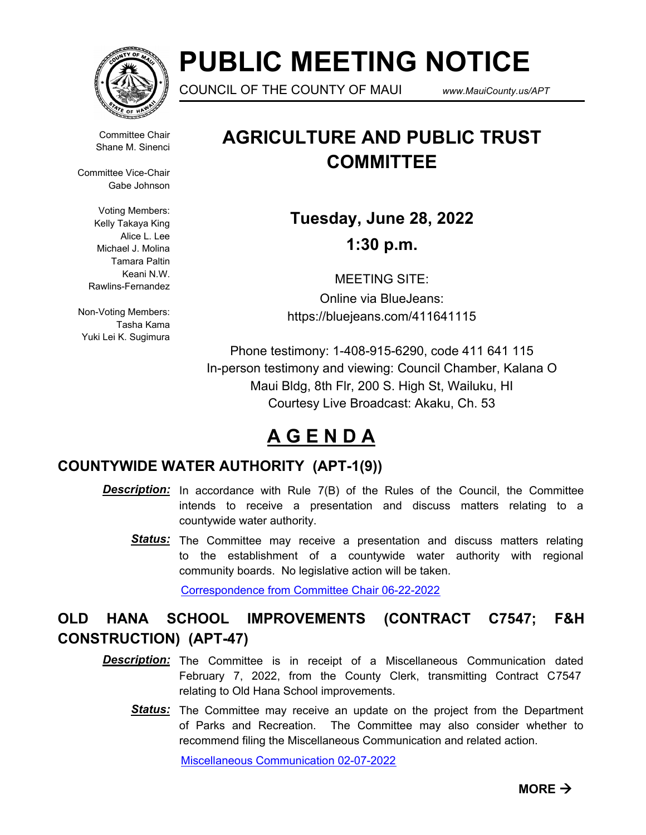

# **PUBLIC MEETING NOTICE**

COUNCIL OF THE COUNTY OF MAUI *www.MauiCounty.us/APT*

Committee Chair Shane M. Sinenci

Committee Vice-Chair Gabe Johnson

> Voting Members: Kelly Takaya King Alice L. Lee Michael J. Molina Tamara Paltin Keani N.W. Rawlins-Fernandez

Non-Voting Members: Tasha Kama Yuki Lei K. Sugimura

# **AGRICULTURE AND PUBLIC TRUST COMMITTEE**

**Tuesday, June 28, 2022 1:30 p.m.**

MEETING SITE: Online via BlueJeans: https://bluejeans.com/411641115

Phone testimony: 1-408-915-6290, code 411 641 115 In-person testimony and viewing: Council Chamber, Kalana O Maui Bldg, 8th Flr, 200 S. High St, Wailuku, HI Courtesy Live Broadcast: Akaku, Ch. 53

## **A G E N D A**

### **COUNTYWIDE WATER AUTHORITY (APT-1(9))**

- **Description:** In accordance with Rule 7(B) of the Rules of the Council, the Committee intends to receive a presentation and discuss matters relating to a countywide water authority.
	- Status: The Committee may receive a presentation and discuss matters relating to the establishment of a countywide water authority with regional community boards. No legislative action will be taken.

[Correspondence from Committee Chair 06-22-2022](http://mauicounty.legistar.com/gateway.aspx?M=F&ID=dc0e820c-5d8f-4deb-845d-66907bf825f0.pdf)

### **OLD HANA SCHOOL IMPROVEMENTS (CONTRACT C7547; F&H CONSTRUCTION) (APT-47)**

- **Description:** The Committee is in receipt of a Miscellaneous Communication dated February 7, 2022, from the County Clerk, transmitting Contract C7547 relating to Old Hana School improvements.
	- Status: The Committee may receive an update on the project from the Department of Parks and Recreation. The Committee may also consider whether to recommend filing the Miscellaneous Communication and related action.

[Miscellaneous Communication 02-07-2022](http://mauicounty.legistar.com/gateway.aspx?M=F&ID=28107647-e8d1-4572-ac79-3ede594ba882.pdf)